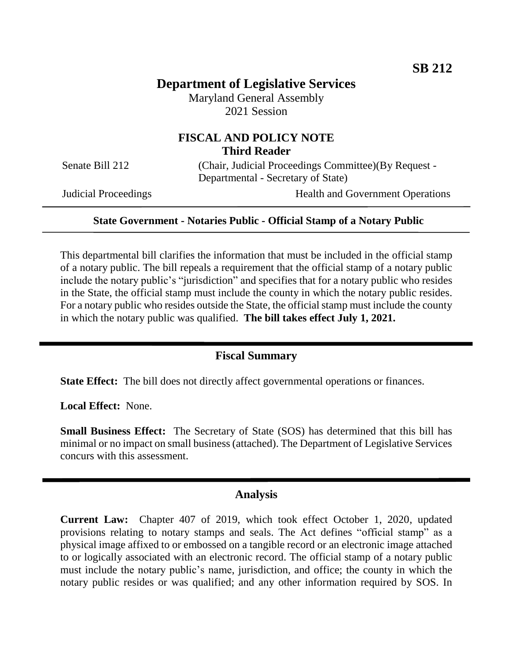# **Department of Legislative Services**

Maryland General Assembly 2021 Session

# **FISCAL AND POLICY NOTE Third Reader**

Senate Bill 212 (Chair, Judicial Proceedings Committee)(By Request -Departmental - Secretary of State)

Judicial Proceedings Health and Government Operations

#### **State Government - Notaries Public - Official Stamp of a Notary Public**

This departmental bill clarifies the information that must be included in the official stamp of a notary public. The bill repeals a requirement that the official stamp of a notary public include the notary public's "jurisdiction" and specifies that for a notary public who resides in the State, the official stamp must include the county in which the notary public resides. For a notary public who resides outside the State, the official stamp must include the county in which the notary public was qualified. **The bill takes effect July 1, 2021.** 

### **Fiscal Summary**

**State Effect:** The bill does not directly affect governmental operations or finances.

**Local Effect:** None.

**Small Business Effect:** The Secretary of State (SOS) has determined that this bill has minimal or no impact on small business (attached). The Department of Legislative Services concurs with this assessment.

#### **Analysis**

**Current Law:** Chapter 407 of 2019, which took effect October 1, 2020, updated provisions relating to notary stamps and seals. The Act defines "official stamp" as a physical image affixed to or embossed on a tangible record or an electronic image attached to or logically associated with an electronic record. The official stamp of a notary public must include the notary public's name, jurisdiction, and office; the county in which the notary public resides or was qualified; and any other information required by SOS. In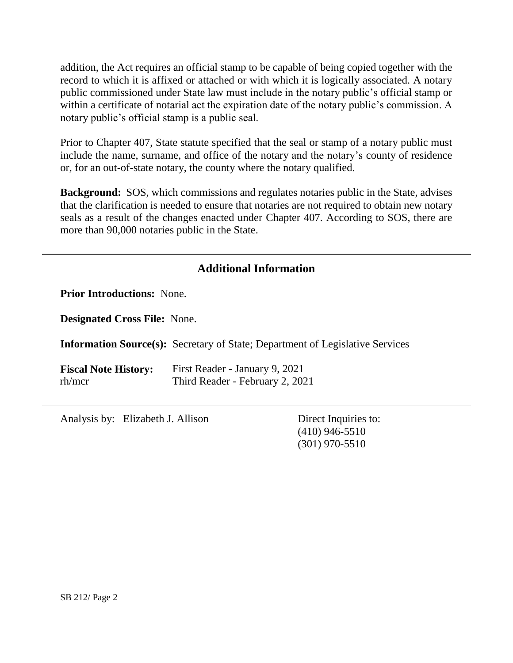addition, the Act requires an official stamp to be capable of being copied together with the record to which it is affixed or attached or with which it is logically associated. A notary public commissioned under State law must include in the notary public's official stamp or within a certificate of notarial act the expiration date of the notary public's commission. A notary public's official stamp is a public seal.

Prior to Chapter 407, State statute specified that the seal or stamp of a notary public must include the name, surname, and office of the notary and the notary's county of residence or, for an out-of-state notary, the county where the notary qualified.

**Background:** SOS, which commissions and regulates notaries public in the State, advises that the clarification is needed to ensure that notaries are not required to obtain new notary seals as a result of the changes enacted under Chapter 407. According to SOS, there are more than 90,000 notaries public in the State.

# **Additional Information**

**Prior Introductions:** None.

**Designated Cross File:** None.

**Information Source(s):** Secretary of State; Department of Legislative Services

**Fiscal Note History:** First Reader - January 9, 2021 rh/mcr Third Reader - February 2, 2021

Analysis by: Elizabeth J. Allison Direct Inquiries to:

(410) 946-5510 (301) 970-5510